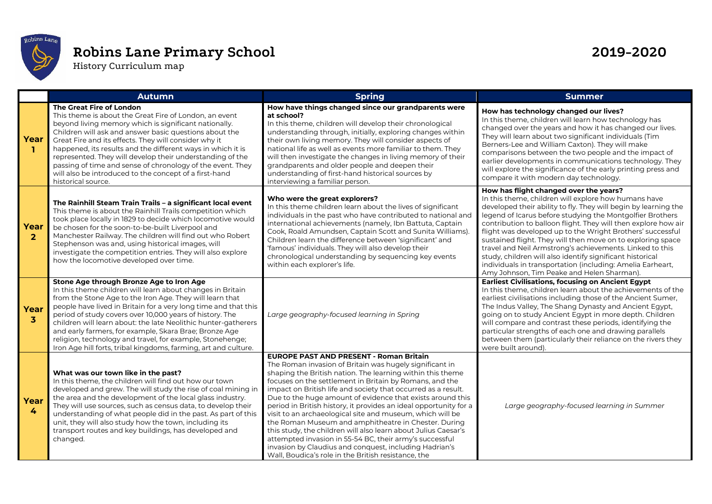

## **Robins Lane Primary School 2019-2020**

History Curriculum map

|                                 | <b>Autumn</b>                                                                                                                                                                                                                                                                                                                                                                                                                                                                                                                                                 | <b>Spring</b>                                                                                                                                                                                                                                                                                                                                                                                                                                                                                                                                                                                                                                                                                                                                                                                             | <b>Summer</b>                                                                                                                                                                                                                                                                                                                                                                                                                                                                                                                                                                                                                                                      |
|---------------------------------|---------------------------------------------------------------------------------------------------------------------------------------------------------------------------------------------------------------------------------------------------------------------------------------------------------------------------------------------------------------------------------------------------------------------------------------------------------------------------------------------------------------------------------------------------------------|-----------------------------------------------------------------------------------------------------------------------------------------------------------------------------------------------------------------------------------------------------------------------------------------------------------------------------------------------------------------------------------------------------------------------------------------------------------------------------------------------------------------------------------------------------------------------------------------------------------------------------------------------------------------------------------------------------------------------------------------------------------------------------------------------------------|--------------------------------------------------------------------------------------------------------------------------------------------------------------------------------------------------------------------------------------------------------------------------------------------------------------------------------------------------------------------------------------------------------------------------------------------------------------------------------------------------------------------------------------------------------------------------------------------------------------------------------------------------------------------|
| Year<br>$\mathbf{1}$            | The Great Fire of London<br>This theme is about the Great Fire of London, an event<br>beyond living memory which is significant nationally.<br>Children will ask and answer basic questions about the<br>Great Fire and its effects. They will consider why it<br>happened, its results and the different ways in which it is<br>represented. They will develop their understanding of the<br>passing of time and sense of chronology of the event. They<br>will also be introduced to the concept of a first-hand<br>historical source.                      | How have things changed since our grandparents were<br>at school?<br>In this theme, children will develop their chronological<br>understanding through, initially, exploring changes within<br>their own living memory. They will consider aspects of<br>national life as well as events more familiar to them. They<br>will then investigate the changes in living memory of their<br>grandparents and older people and deepen their<br>understanding of first-hand historical sources by<br>interviewing a familiar person.                                                                                                                                                                                                                                                                             | How has technology changed our lives?<br>In this theme, children will learn how technology has<br>changed over the years and how it has changed our lives.<br>They will learn about two significant individuals (Tim<br>Berners-Lee and William Caxton). They will make<br>comparisons between the two people and the impact of<br>earlier developments in communications technology. They<br>will explore the significance of the early printing press and<br>compare it with modern day technology.                                                                                                                                                              |
| Year<br>$\overline{2}$          | The Rainhill Steam Train Trails - a significant local event<br>This theme is about the Rainhill Trails competition which<br>took place locally in 1829 to decide which locomotive would<br>be chosen for the soon-to-be-built Liverpool and<br>Manchester Railway. The children will find out who Robert<br>Stephenson was and, using historical images, will<br>investigate the competition entries. They will also explore<br>how the locomotive developed over time.                                                                                       | Who were the great explorers?<br>In this theme children learn about the lives of significant<br>individuals in the past who have contributed to national and<br>international achievements (namely, Ibn Battuta, Captain<br>Cook, Roald Amundsen, Captain Scott and Sunita Williams).<br>Children learn the difference between 'significant' and<br>'famous' individuals. They will also develop their<br>chronological understanding by sequencing key events<br>within each explorer's life.                                                                                                                                                                                                                                                                                                            | How has flight changed over the years?<br>In this theme, children will explore how humans have<br>developed their ability to fly. They will begin by learning the<br>legend of Icarus before studying the Montgolfier Brothers<br>contribution to balloon flight. They will then explore how air<br>flight was developed up to the Wright Brothers' successful<br>sustained flight. They will then move on to exploring space<br>travel and Neil Armstrong's achievements. Linked to this<br>study, children will also identify significant historical<br>individuals in transportation (including: Amelia Earheart,<br>Amy Johnson, Tim Peake and Helen Sharman). |
| Year<br>$\overline{\mathbf{3}}$ | Stone Age through Bronze Age to Iron Age<br>In this theme children will learn about changes in Britain<br>from the Stone Age to the Iron Age. They will learn that<br>people have lived in Britain for a very long time and that this<br>period of study covers over 10,000 years of history. The<br>children will learn about: the late Neolithic hunter-gatherers<br>and early farmers, for example, Skara Brae; Bronze Age<br>religion, technology and travel, for example, Stonehenge;<br>Iron Age hill forts, tribal kingdoms, farming, art and culture. | Large geography-focused learning in Spring                                                                                                                                                                                                                                                                                                                                                                                                                                                                                                                                                                                                                                                                                                                                                                | <b>Earliest Civilisations, focusing on Ancient Egypt</b><br>In this theme, children learn about the achievements of the<br>earliest civilisations including those of the Ancient Sumer,<br>The Indus Valley, The Shang Dynasty and Ancient Egypt,<br>going on to study Ancient Egypt in more depth. Children<br>will compare and contrast these periods, identifying the<br>particular strengths of each one and drawing parallels<br>between them (particularly their reliance on the rivers they<br>were built around).                                                                                                                                          |
| Year<br>4                       | What was our town like in the past?<br>In this theme, the children will find out how our town<br>developed and grew. The will study the rise of coal mining in<br>the area and the development of the local glass industry.<br>They will use sources, such as census data, to develop their<br>understanding of what people did in the past. As part of this<br>unit, they will also study how the town, including its<br>transport routes and key buildings, has developed and<br>changed.                                                                   | <b>EUROPE PAST AND PRESENT - Roman Britain</b><br>The Roman invasion of Britain was hugely significant in<br>shaping the British nation. The learning within this theme<br>focuses on the settlement in Britain by Romans, and the<br>impact on British life and society that occurred as a result.<br>Due to the huge amount of evidence that exists around this<br>period in British history, it provides an ideal opportunity for a<br>visit to an archaeological site and museum, which will be<br>the Roman Museum and amphitheatre in Chester. During<br>this study, the children will also learn about Julius Caesar's<br>attempted invasion in 55-54 BC, their army's successful<br>invasion by Claudius and conquest, including Hadrian's<br>Wall, Boudica's role in the British resistance, the | Large geography-focused learning in Summer                                                                                                                                                                                                                                                                                                                                                                                                                                                                                                                                                                                                                         |